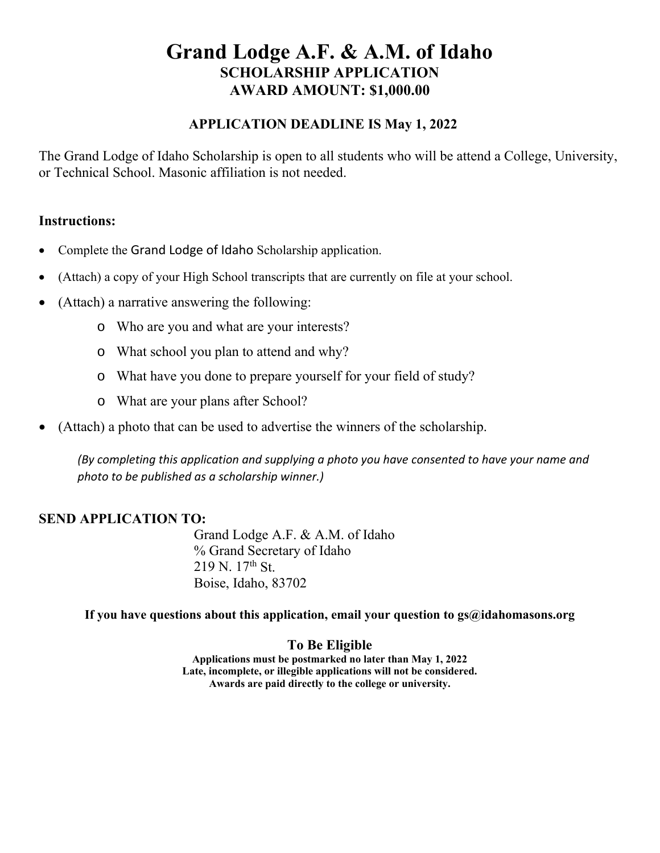## **Grand Lodge A.F. & A.M. of Idaho SCHOLARSHIP APPLICATION AWARD AMOUNT: \$1,000.00**

#### **APPLICATION DEADLINE IS May 1, 2022**

The Grand Lodge of Idaho Scholarship is open to all students who will be attend a College, University, or Technical School. Masonic affiliation is not needed.

#### **Instructions:**

- Complete the Grand Lodge of Idaho Scholarship application.
- (Attach) a copy of your High School transcripts that are currently on file at your school.
- (Attach) a narrative answering the following:
	- o Who are you and what are your interests?
	- o What school you plan to attend and why?
	- o What have you done to prepare yourself for your field of study?
	- o What are your plans after School?
- (Attach) a photo that can be used to advertise the winners of the scholarship.

*(By completing this application and supplying a photo you have consented to have your name and photo to be published as a scholarship winner.)* 

### **SEND APPLICATION TO:**

Grand Lodge A.F. & A.M. of Idaho % Grand Secretary of Idaho  $219$  N.  $17<sup>th</sup>$  St. Boise, Idaho, 83702

If you have questions about this application, email your question to gs@idahomasons.org

### **To Be Eligible**

**Applications must be postmarked no later than May 1, 2022 Late, incomplete, or illegible applications will not be considered. Awards are paid directly to the college or university.**